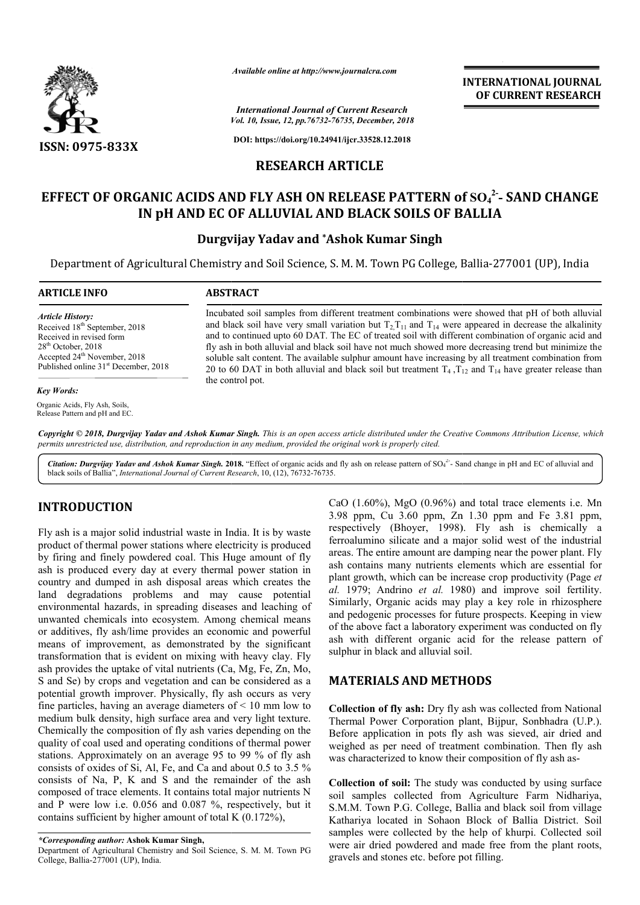

*Available online at http://www.journalcra.com*

*Vol. 10, Issue, 12, pp.76732-76735, December, 2018 International Journal of Current Research*

**DOI: https://doi.org/10.24941/ijcr.33528.12.2018**

## **RESEARCH ARTICLE**

# **EFFECT OF ORGANIC ACIDS AND FLY ASH ON RELEASE PATTERN of EFFECT SO4 2- - SAND CHANGE IN pH AND EC OF ALLUVIAL AND BLACK SOILS OF BALLIA SOILS OF BALLIA**

## **Durgvijay Yadav and \*Ashok Kumar Singh**

Department of Agricultural Chemistry and Soil Science, S. M. M. Town PG College, Ballia-277001 (UP), India

#### **ARTICLE INFO ABSTRACT** Incubated soil samples from different treatment combinations were showed that pH of both alluvial and black soil have very small variation but  $T_2$ ,  $T_{11}$  and  $T_{14}$  were appeared in decrease the alkalinity Incubated soil samples from different treatment combinations were showed that pH of both alluvial<br>and black soil have very small variation but  $T_2T_{11}$  and  $T_{14}$  were appeared in decrease the alkalinity<br>and to continu fly ash in both alluvial and black soil have not much showed more decreasing trend but minimize the soluble salt content. The available sulphur amount have increasing by all treatment combination from fly ash in both alluvial and black soil have not much showed more decreasing trend but minimize the soluble salt content. The available sulphur amount have increasing by all treatment combination from 20 to 60 DAT in both the control pot. *Article History:* Received 18<sup>th</sup> September, 2018 Received in revised form 28th October, 2018 Accepted 24<sup>th</sup> November, 2018 Published online 31<sup>st</sup> December, 2018 *Key Words:* Organic Acids, Fly Ash, Soils,

Copyright © 2018, Durgvijay Yadav and Ashok Kumar Singh. This is an open access article distributed under the Creative Commons Attribution License, which permits unrestricted use, distribution, and reproduction in any medium, provided the original work is properly cited.

Citation: Durgvijay Yadav and Ashok Kumar Singh. 2018. "Effect of organic acids and fly ash on release pattern of SO<sub>4</sub><sup>2</sup>- Sand change in pH and EC of alluvial and black soils of Ballia", *International Journal of Current Research* , 10, (12), 76732-76735.

# **INTRODUCTION**

Release Pattern and pH and EC.

Fly ash is a major solid industrial waste in India. It is by waste product of thermal power stations where electricity is produced by firing and finely powdered coal. This Huge amount of fly ash is produced every day at every thermal power station in country and dumped in ash disposal areas which creates the land degradations problems and may cause potential environmental hazards, in spreading diseases and leaching of unwanted chemicals into ecosystem. Among chemical means or additives, fly ash/lime provides an economic and powerful land degradations problems and may cause potential<br>environmental hazards, in spreading diseases and leaching of<br>unwanted chemicals into ecosystem. Among chemical means<br>or additives, fly ash/lime provides an economic and po transformation that is evident on mixing with heavy clay. Fly ash provides the uptake of vital nutrients (Ca, Mg, Fe, Zn, Mo, S and Se) by crops and vegetation and can be considered as a potential growth improver. Physically, fly ash occurs as very fine particles, having an average diameters of  $\leq 10$  mm low to medium bulk density, high surface area and very light texture. Chemically the composition of fly ash varies depending on the quality of coal used and operating conditions of thermal power stations. Approximately on an average 95 to 99 % of fly ash consists of oxides of Si, Al, Fe, and Ca and about 0.5 to 3.5 % consists of Na, P, K and S and the remainder of the ash composed of trace elements. It contains total major nutrients N and P were low i.e. 0.056 and 0.087 %, respectively, but it contains sufficient by higher amount of total K (0.172%), **ON**<br>
CaO (1.60%), MgO (0.90%) and total trace elements i.e. Mn<br>
assolid industrial waste in India, It is by waste respectively (Bhoyer, 1998). Fly ash is chemically a<br>
power stations where electricity is produced for<br>
is

3.98 ppm, Cu 3.60 ppm, Zn 1.30 ppm and Fe 3.81 ppm, CaO (1.60%), MgO (0.96%) and total trace elements i.e. Mn 3.98 ppm, Cu 3.60 ppm, Zn 1.30 ppm and Fe 3.81 ppm, respectively (Bhoyer, 1998). Fly ash is chemically a ferroalumino silicate and a major solid west of the industrial ferroalumino silicate and a major solid west of the industrial areas. The entire amount are damping near the power plant. Fly ash contains many nutrients elements which are essential for plant growth, which can be increase crop productivity (Page et al. 1979; Andrino et al. 1980) and improve soil fertility. Similarly, Organic acids may play a key role in rhizosphere and pedogenic processes for future prospects. Keeping in view of the above fact a laboratory experiment was conducted on fly ash with different organic acid for the release pattern of sulphur in black and alluvial soil. e above fact a laboratory experiment with different organic acid for the nur in black and alluvial soil. **INTERNATIONAL JOURNAL**<br> **Collected by the plant etc.** 2018<br> **Collected by the plant etc. BSEARCH**<br> **College, Ballia-277001 (UP)**, India<br> **College, Ballia-277001 (UP)**, India<br> **combinations were showed that pH of both all** 

**INTERNATIONAL JOURNAL OF CURRENT RESEARCH**

## **MATERIALS AND METHODS METHODS**

**Collection of fly ash:** Dry fly ash was collected from National Thermal Power Corporation plant, Bijpur, Sonbhadra (U.P.). Before application in pots fly ash was sieved, air dried and weighed as per need of treatment combination. Then fly ash was characterized to know their composition of fly ash as mal Power Corporation plant, Bijpur, Sonbhadra (U.P.).<br>The application in pots fly ash was sieved, air dried and<br>ned as per need of treatment combination. Then fly ash<br>haracterized to know their composition of fly ash as-

**Collection of soil:** The study was conducted by using surface soil samples collected from Agriculture Farm Nidhariya, S.M.M. Town P.G. College, Ballia and black soil from village Kathariya located in Sohaon Block of Ballia District. Soil samples were collected by the help of khurpi. Collected soil were air dried powdered and made free from the plant roots, gravels and stones etc. before pot filling. **Soil:** The study was conducted by using surface collected from Agriculture Farm Nidhariya, P.G. College, Ballia and black soil from village

*<sup>\*</sup>Corresponding author:* **Ashok Kumar Singh,**

Department of Agricultural Chemistry and Soil Science, S. M. M. Town PG College, Ballia-277001 (UP), India.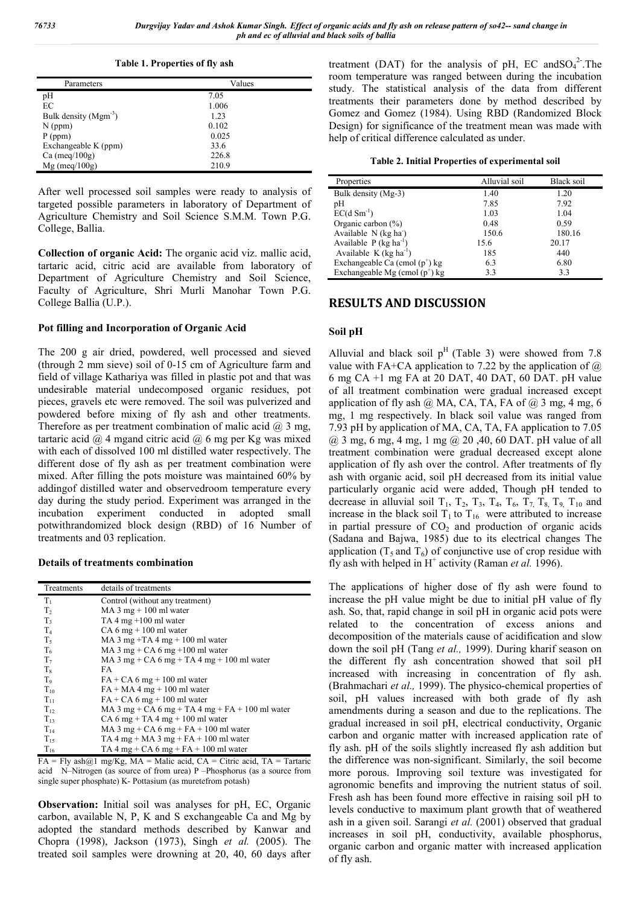*76733 Durgvijay Yadav and Ashok Kumar Singh. Effect of organic acids and fly ash on release pattern of so42-- sand change in ph and ec of alluvial and black soils of ballia*

**Table 1. Properties of fly ash**

| Parameters                | Values |
|---------------------------|--------|
| pH                        | 7.05   |
| EC                        | 1.006  |
| Bulk density $(Mgm^{-3})$ | 1.23   |
| $N$ (ppm)                 | 0.102  |
| $P$ (ppm)                 | 0.025  |
| Exchangeable K (ppm)      | 33.6   |
| Ca (meq/ $100g$ )         | 226.8  |
| $Mg$ (meq/100g)           | 210.9  |

After well processed soil samples were ready to analysis of targeted possible parameters in laboratory of Department of Agriculture Chemistry and Soil Science S.M.M. Town P.G. College, Ballia.

**Collection of organic Acid:** The organic acid viz. mallic acid, tartaric acid, citric acid are available from laboratory of Department of Agriculture Chemistry and Soil Science, Faculty of Agriculture, Shri Murli Manohar Town P.G. College Ballia (U.P.).

### **Pot filling and Incorporation of Organic Acid**

The 200 g air dried, powdered, well processed and sieved (through 2 mm sieve) soil of 0-15 cm of Agriculture farm and field of village Kathariya was filled in plastic pot and that was undesirable material undecomposed organic residues, pot pieces, gravels etc were removed. The soil was pulverized and powdered before mixing of fly ash and other treatments. Therefore as per treatment combination of malic acid  $(2, 3, \text{mg})$ , tartaric acid  $@$  4 mgand citric acid  $@$  6 mg per Kg was mixed with each of dissolved 100 ml distilled water respectively. The different dose of fly ash as per treatment combination were mixed. After filling the pots moisture was maintained 60% by addingof distilled water and observedroom temperature every day during the study period. Experiment was arranged in the incubation experiment conducted in adopted small potwithrandomized block design (RBD) of 16 Number of treatments and 03 replication.

#### **Details of treatments combination**

| Treatments     | details of treatments                           |
|----------------|-------------------------------------------------|
| $T_1$          | Control (without any treatment)                 |
| T <sub>2</sub> | MA 3 mg $+$ 100 ml water                        |
| $T_3$          | TA 4 mg $+100$ ml water                         |
| T <sub>4</sub> | $CA 6 mg + 100 ml water$                        |
| $T_5$          | MA 3 mg +TA 4 mg + 100 ml water                 |
| T <sub>6</sub> | MA 3 mg + CA 6 mg + 100 ml water                |
| T <sub>7</sub> | MA 3 mg + CA 6 mg + TA 4 mg + 100 ml water      |
| $T_8$          | FA                                              |
| T <sub>9</sub> | $FA + CA6$ mg + 100 ml water                    |
| $T_{10}$       | $FA + MA + mg + 100$ ml water                   |
| $T_{11}$       | $FA + CA6$ mg + 100 ml water                    |
| $T_{12}$       | MA 3 mg + CA 6 mg + TA 4 mg + FA + 100 ml water |
| $T_{13}$       | $CA 6 mg + TA 4 mg + 100 ml water$              |
| $T_{14}$       | MA 3 mg + CA 6 mg + FA + 100 ml water           |
| $T_{15}$       | TA 4 mg + MA 3 mg + FA + 100 ml water           |
| $T_{16}$       | TA 4 mg + CA 6 mg + FA + 100 ml water           |

 $FA = Fly$  ash $@1$  mg/Kg,  $MA =$  Malic acid,  $CA =$  Citric acid,  $TA =$  Tartaric acid N–Nitrogen (as source of from urea) P –Phosphorus (as a source from single super phosphate) K- Pottasium (as muretefrom potash)

**Observation:** Initial soil was analyses for pH, EC, Organic carbon, available N, P, K and S exchangeable Ca and Mg by adopted the standard methods described by Kanwar and Chopra (1998), Jackson (1973), Singh *et al.* (2005). The treated soil samples were drowning at 20, 40, 60 days after

treatment (DAT) for the analysis of pH, EC and  $SO_4^2$ . The room temperature was ranged between during the incubation study. The statistical analysis of the data from different treatments their parameters done by method described by Gomez and Gomez (1984). Using RBD (Randomized Block Design) for significance of the treatment mean was made with help of critical difference calculated as under.

|  |  | Table 2. Initial Properties of experimental soil |  |
|--|--|--------------------------------------------------|--|
|--|--|--------------------------------------------------|--|

| Properties                           | Alluvial soil | Black soil |
|--------------------------------------|---------------|------------|
| Bulk density (Mg-3)                  | 1.40          | 1.20       |
| pH                                   | 7.85          | 7.92       |
| $EC(d \, Sm^{-1})$                   | 1.03          | 1.04       |
| Organic carbon $(\% )$               | 0.48          | 0.59       |
| Available N (kg ha <sup>-</sup> )    | 150.6         | 180.16     |
| Available $P$ (kg ha <sup>-1</sup> ) | 15.6          | 20.17      |
| Available $K$ (kg ha <sup>-1</sup> ) | 185           | 440        |
| Exchangeable Ca (cmol $(p^+)$ kg     | 6.3           | 6.80       |
| Exchangeable Mg (cmol $(p^+)$ kg     | 3.3           | 3.3        |

### **RESULTS AND DISCUSSION**

### **Soil pH**

Alluvial and black soil  $p<sup>H</sup>$  (Table 3) were showed from 7.8 value with FA+CA application to 7.22 by the application of  $\omega$ 6 mg CA +1 mg FA at 20 DAT, 40 DAT, 60 DAT. pH value of all treatment combination were gradual increased except application of fly ash  $@$  MA, CA, TA, FA of  $@$  3 mg, 4 mg, 6 mg, 1 mg respectively. In black soil value was ranged from 7.93 pH by application of MA, CA, TA, FA application to 7.05 @ 3 mg, 6 mg, 4 mg, 1 mg @ 20 ,40, 60 DAT. pH value of all treatment combination were gradual decreased except alone application of fly ash over the control. After treatments of fly ash with organic acid, soil pH decreased from its initial value particularly organic acid were added, Though pH tended to decrease in alluvial soil  $T_1$ ,  $T_2$ ,  $T_3$ ,  $T_4$ ,  $T_6$ ,  $T_7$ ,  $T_8$ ,  $T_9$ ,  $T_{10}$  and increase in the black soil  $T_1$  to  $T_{16}$  were attributed to increase in partial pressure of  $CO<sub>2</sub>$  and production of organic acids (Sadana and Bajwa, 1985) due to its electrical changes The application  $(T_5 \text{ and } T_6)$  of conjunctive use of crop residue with fly ash with helped in H<sup>+</sup> activity (Raman *et al.* 1996).

The applications of higher dose of fly ash were found to increase the pH value might be due to initial pH value of fly ash. So, that, rapid change in soil pH in organic acid pots were related to the concentration of excess anions and decomposition of the materials cause of acidification and slow down the soil pH (Tang *et al.,* 1999). During kharif season on the different fly ash concentration showed that soil pH increased with increasing in concentration of fly ash. (Brahmachari *et al.,* 1999). The physico-chemical properties of soil, pH values increased with both grade of fly ash amendments during a season and due to the replications. The gradual increased in soil pH, electrical conductivity, Organic carbon and organic matter with increased application rate of fly ash. pH of the soils slightly increased fly ash addition but the difference was non-significant. Similarly, the soil become more porous. Improving soil texture was investigated for agronomic benefits and improving the nutrient status of soil. Fresh ash has been found more effective in raising soil pH to levels conductive to maximum plant growth that of weathered ash in a given soil. Sarangi *et al.* (2001) observed that gradual increases in soil pH, conductivity, available phosphorus, organic carbon and organic matter with increased application of fly ash.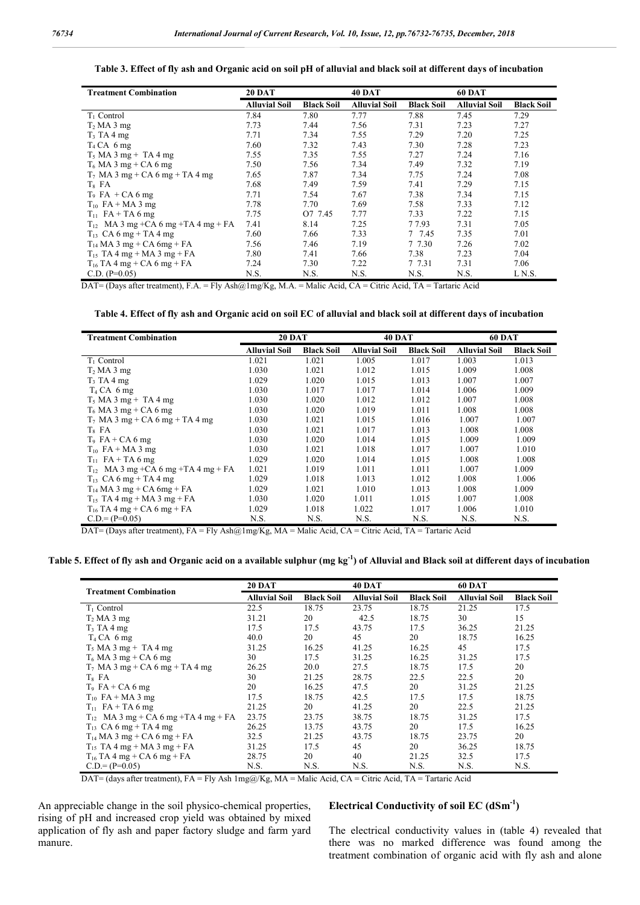**Table 3. Effect of fly ash and Organic acid on soil pH of alluvial and black soil at different days of incubation**

| <b>Treatment Combination</b>            | <b>20 DAT</b>        |                   | <b>40 DAT</b>        |                   | <b>60 DAT</b>        |                   |
|-----------------------------------------|----------------------|-------------------|----------------------|-------------------|----------------------|-------------------|
|                                         | <b>Alluvial Soil</b> | <b>Black Soil</b> | <b>Alluvial Soil</b> | <b>Black Soil</b> | <b>Alluvial Soil</b> | <b>Black Soil</b> |
| $T_1$ Control                           | 7.84                 | 7.80              | 7.77                 | 7.88              | 7.45                 | 7.29              |
| $T_2$ MA 3 mg                           | 7.73                 | 7.44              | 7.56                 | 7.31              | 7.23                 | 7.27              |
| $T_3$ TA 4 mg                           | 7.71                 | 7.34              | 7.55                 | 7.29              | 7.20                 | 7.25              |
| $T_4$ CA 6 mg                           | 7.60                 | 7.32              | 7.43                 | 7.30              | 7.28                 | 7.23              |
| $T_5$ MA 3 mg + TA 4 mg                 | 7.55                 | 7.35              | 7.55                 | 7.27              | 7.24                 | 7.16              |
| $T_6$ MA 3 mg + CA 6 mg                 | 7.50                 | 7.56              | 7.34                 | 7.49              | 7.32                 | 7.19              |
| $T_7$ MA 3 mg + CA 6 mg + TA 4 mg       | 7.65                 | 7.87              | 7.34                 | 7.75              | 7.24                 | 7.08              |
| $T_8$ FA                                | 7.68                 | 7.49              | 7.59                 | 7.41              | 7.29                 | 7.15              |
| $T_9$ FA + CA 6 mg                      | 7.71                 | 7.54              | 7.67                 | 7.38              | 7.34                 | 7.15              |
| $T_{10}$ FA + MA 3 mg                   | 7.78                 | 7.70              | 7.69                 | 7.58              | 7.33                 | 7.12              |
| $T_{11}$ FA + TA 6 mg                   | 7.75                 | O7 7.45           | 7.77                 | 7.33              | 7.22                 | 7.15              |
| $T_{12}$ MA 3 mg +CA 6 mg +TA 4 mg + FA | 7.41                 | 8.14              | 7.25                 | 7 7.93            | 7.31                 | 7.05              |
| $T_{13}$ CA 6 mg + TA 4 mg              | 7.60                 | 7.66              | 7.33                 | 7 7.45            | 7.35                 | 7.01              |
| $T_{14}$ MA 3 mg + CA 6mg + FA          | 7.56                 | 7.46              | 7.19                 | 7 7.30            | 7.26                 | 7.02              |
| $T_{15}$ TA 4 mg + MA 3 mg + FA         | 7.80                 | 7.41              | 7.66                 | 7.38              | 7.23                 | 7.04              |
| $T_{16}$ TA 4 mg + CA 6 mg + FA         | 7.24                 | 7.30              | 7.22                 | 7 7.31            | 7.31                 | 7.06              |
| C.D. $(P=0.05)$                         | N.S.                 | N.S.              | N.S.                 | N.S.              | N.S.                 | L N.S.            |

DAT= (Days after treatment), F.A. = Fly Ash@1mg/Kg, M.A. = Malic Acid, CA = Citric Acid, TA = Tartaric Acid

**Table 4. Effect of fly ash and Organic acid on soil EC of alluvial and black soil at different days of incubation**

| <b>Treatment Combination</b>               | <b>20 DAT</b>        |                   | <b>40 DAT</b>        |                   | <b>60 DAT</b>        |                   |
|--------------------------------------------|----------------------|-------------------|----------------------|-------------------|----------------------|-------------------|
|                                            | <b>Alluvial Soil</b> | <b>Black Soil</b> | <b>Alluvial Soil</b> | <b>Black Soil</b> | <b>Alluvial Soil</b> | <b>Black Soil</b> |
| $T_1$ Control                              | 1.021                | 1.021             | 1.005                | 1.017             | 1.003                | 1.013             |
| T <sub>2</sub> MA 3 mg                     | 1.030                | 1.021             | 1.012                | 1.015             | 1.009                | 1.008             |
| T <sub>3</sub> TA 4 mg                     | 1.029                | 1.020             | 1.015                | 1.013             | 1.007                | 1.007             |
| $T_4$ CA 6 mg                              | 1.030                | 1.017             | 1.017                | 1.014             | 1.006                | 1.009             |
| $T_5$ MA 3 mg + TA 4 mg                    | 1.030                | 1.020             | 1.012                | 1.012             | 1.007                | 1.008             |
| $T_6$ MA 3 mg + CA 6 mg                    | 1.030                | 1.020             | 1.019                | 1.011             | 1.008                | 1.008             |
| $T_7$ MA 3 mg + CA 6 mg + TA 4 mg          | 1.030                | 1.021             | 1.015                | 1.016             | 1.007                | 1.007             |
| $T_8$ FA                                   | 1.030                | 1.021             | 1.017                | 1.013             | 1.008                | 1.008             |
| $T_9$ FA + CA 6 mg                         | 1.030                | 1.020             | 1.014                | 1.015             | 1.009                | 1.009             |
| $T_{10}$ FA + MA 3 mg                      | 1.030                | 1.021             | 1.018                | 1.017             | 1.007                | 1.010             |
| $T_{11}$ FA + TA 6 mg                      | 1.029                | 1.020             | 1.014                | 1.015             | 1.008                | 1.008             |
| MA 3 mg +CA 6 mg +TA 4 mg + FA<br>$T_{12}$ | 1.021                | 1.019             | 1.011                | 1.011             | 1.007                | 1.009             |
| $T_{13}$ CA 6 mg + TA 4 mg                 | 1.029                | 1.018             | 1.013                | 1.012             | 1.008                | 1.006             |
| $T_{14}$ MA 3 mg + CA 6mg + FA             | 1.029                | 1.021             | 1.010                | 1.013             | 1.008                | 1.009             |
| $T_{15}$ TA 4 mg + MA 3 mg + FA            | 1.030                | 1.020             | 1.011                | 1.015             | 1.007                | 1.008             |
| $T_{16}$ TA 4 mg + CA 6 mg + FA            | 1.029                | 1.018             | 1.022                | 1.017             | 1.006                | 1.010             |
| $C.D = (P=0.05)$                           | N.S.                 | N.S.              | N.S.                 | N.S.              | N.S.                 | N.S.              |

DAT= (Days after treatment), FA = Fly Ash@1mg/Kg, MA = Malic Acid, CA = Citric Acid, TA = Tartaric Acid

**Table 5. Effect of fly ash and Organic acid on a available sulphur (mg kg-1 ) of Alluvial and Black soil at different days of incubation**

|                                           | <b>20 DAT</b>        |                   | <b>40 DAT</b>        |                   | <b>60 DAT</b>        |                   |
|-------------------------------------------|----------------------|-------------------|----------------------|-------------------|----------------------|-------------------|
| <b>Treatment Combination</b>              | <b>Alluvial Soil</b> | <b>Black Soil</b> | <b>Alluvial Soil</b> | <b>Black Soil</b> | <b>Alluvial Soil</b> | <b>Black Soil</b> |
| $T_1$ Control                             | 22.5                 | 18.75             | 23.75                | 18.75             | 21.25                | 17.5              |
| $T_2$ MA 3 mg                             | 31.21                | 20                | 42.5                 | 18.75             | 30                   | 15                |
| $T_3$ TA 4 mg                             | 17.5                 | 17.5              | 43.75                | 17.5              | 36.25                | 21.25             |
| $T_4$ CA 6 mg                             | 40.0                 | 20                | 45                   | 20                | 18.75                | 16.25             |
| $T_5$ MA 3 mg + TA 4 mg                   | 31.25                | 16.25             | 41.25                | 16.25             | 45                   | 17.5              |
| $T_6$ MA 3 mg + CA 6 mg                   | 30                   | 17.5              | 31.25                | 16.25             | 31.25                | 17.5              |
| $T_7$ MA 3 mg + CA 6 mg + TA 4 mg         | 26.25                | 20.0              | 27.5                 | 18.75             | 17.5                 | 20                |
| $T_8$ FA                                  | 30                   | 21.25             | 28.75                | 22.5              | 22.5                 | 20                |
| $T_9$ FA + CA 6 mg                        | 20                   | 16.25             | 47.5                 | 20                | 31.25                | 21.25             |
| $T_{10}$ FA + MA 3 mg                     | 17.5                 | 18.75             | 42.5                 | 17.5              | 17.5                 | 18.75             |
| $T_{11}$ FA + TA 6 mg                     | 21.25                | 20                | 41.25                | 20                | 22.5                 | 21.25             |
| $T_{12}$ MA 3 mg + CA 6 mg + TA 4 mg + FA | 23.75                | 23.75             | 38.75                | 18.75             | 31.25                | 17.5              |
| $T_{13}$ CA 6 mg + TA 4 mg                | 26.25                | 13.75             | 43.75                | 20                | 17.5                 | 16.25             |
| $T_{14}$ MA 3 mg + CA 6 mg + FA           | 32.5                 | 21.25             | 43.75                | 18.75             | 23.75                | 20                |
| $T_{15}$ TA 4 mg + MA 3 mg + FA           | 31.25                | 17.5              | 45                   | 20                | 36.25                | 18.75             |
| $T_{16}$ TA 4 mg + CA 6 mg + FA           | 28.75                | 20                | 40                   | 21.25             | 32.5                 | 17.5              |
| $C.D = (P=0.05)$                          | N.S.                 | N.S.              | N.S.                 | N.S.              | N.S.                 | N.S.              |

DAT= (days after treatment), FA = Fly Ash 1mg@/Kg, MA = Malic Acid, CA = Citric Acid, TA = Tartaric Acid

An appreciable change in the soil physico-chemical properties, rising of pH and increased crop yield was obtained by mixed application of fly ash and paper factory sludge and farm yard manure.

### **Electrical Conductivity of soil EC (dSm-1 )**

The electrical conductivity values in (table 4) revealed that there was no marked difference was found among the treatment combination of organic acid with fly ash and alone